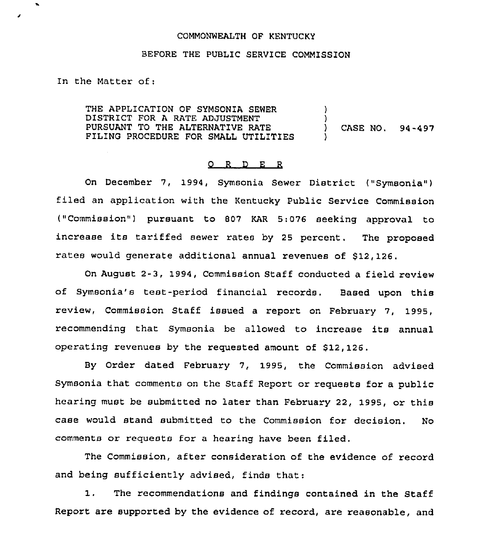## COMMONWEALTH OF KENTUCKY

## BEFORE THE PUBLIC SERVICE COMMISSION

In the Matter of:

THE APPLICATION OF SYMSONIA SEWER DISTRICT FOR A RATE ADJUSTMENT PURSUANT TO THE ALTERNATIVE RATE FILING PROCEDURE FOR SMALL UTILITIES )  $\left\{ \right\}$ ) CASE NO. 94-497 )

## 0 <sup>R</sup> <sup>D</sup> E <sup>R</sup>

On December 7, 1994, Symsonia Sewer District ("Symsonia") filed an application with the Kentucky Public Service Commission ("Commission") pursuant to 807 KAR 5:076 seeking approval to increase its tariffed sewer rates by <sup>25</sup> percent. The proposed rates would generate additional annual revenues of \$12,126.

On August 2-3, 1994, Commission Staff conducted a field review of symsonia's test-period financial records. Based upon this review, Commission Staff issued <sup>a</sup> report on February 7, 1995, recommending that Symsonia be allowed to increase its annual operating revenues by the requested amount of  $$12,126$ .

By Order dated February 7, 1995, the Commission advised Symsonia that comments on the Staff Report or requests for a public hearing must be submitted no later than February 22, 1995, or this case would stand submitted to the Commission for decision. No comments or requests for <sup>a</sup> hearing have been filed.

The Commission, after consideration of the evidence of record and being sufficiently advised, finds that:

1. The recommendations and findings contained in the Staff Report are supported by the evidence of record, are reasonable, and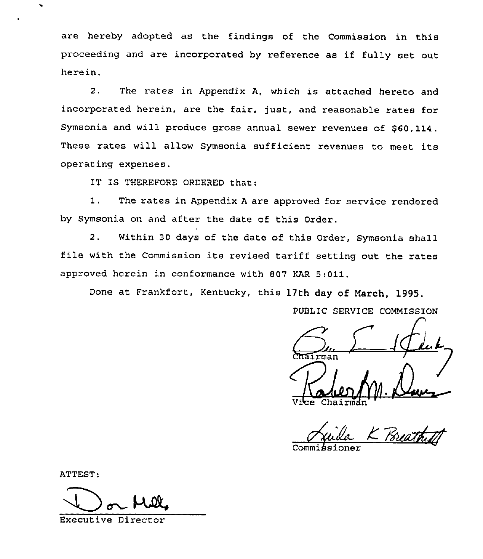are hereby adopted as the findings of the Commission in this proceeding and are incorporated by reference as if fully set out herein.

2. The rates in Appendix A, which is attached hereto and incorporated herein, are the fair, just, and reasonable rates for Symsonia and will produce gross annual sewer revenues of \$60, 114. These rates will allow Symsonia sufficient revenues to meet its operating expenses.

IT IS THEREFORE ORDERED that:

1. The rates in Appendix <sup>A</sup> are approved for service rendered by Symsonia on and after the date of this Order.

2. Within 30 days of the date of this Order, Symsonia shall file with the Commission its revised tariff setting out the rates approved herein in conformance with 807 KAR 5:011.

Done at Frankfort, Kentucky, this 17th day of March, 1995.

rman  $m.\mathcal{L}$ Val Vice Chairma

PUBLIC SERVICE COMMISSION

K Poreathy

Commi*b*sione

ATTEST:

Executive Director